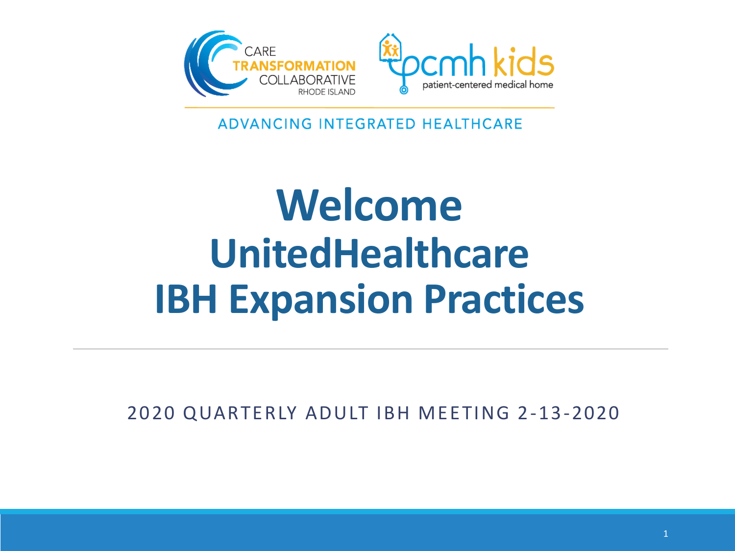

ADVANCING INTEGRATED HEALTHCARE

# **Welcome UnitedHealthcare IBH Expansion Practices**

2020 QUARTERLY ADULT IBH MEETING 2-13-2020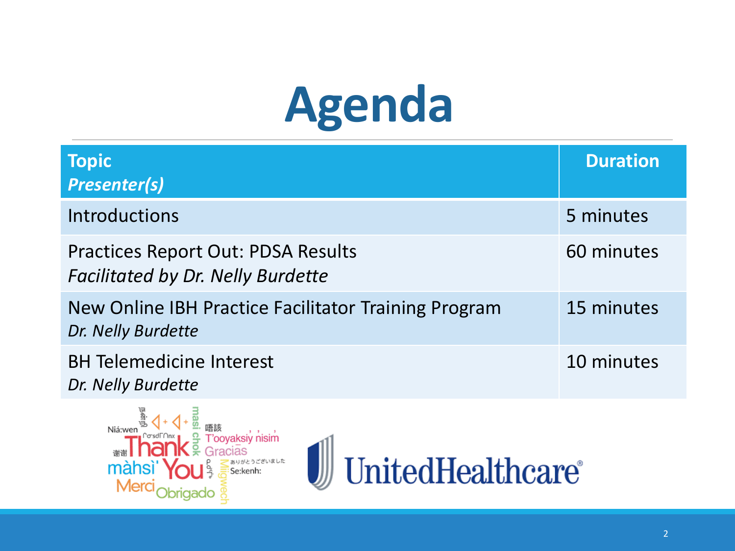# **Agenda**

| <b>Topic</b><br><b>Presenter(s)</b>                                                   | <b>Duration</b> |
|---------------------------------------------------------------------------------------|-----------------|
| <b>Introductions</b>                                                                  | 5 minutes       |
| <b>Practices Report Out: PDSA Results</b><br><b>Facilitated by Dr. Nelly Burdette</b> | 60 minutes      |
| New Online IBH Practice Facilitator Training Program<br>Dr. Nelly Burdette            | 15 minutes      |
| <b>BH Telemedicine Interest</b><br>Dr. Nelly Burdette                                 | 10 minutes      |



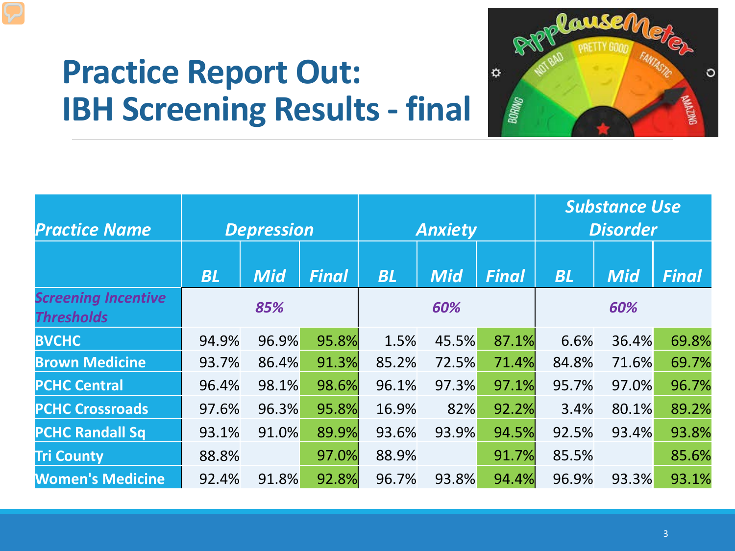

|                                                 |       |                   |              |           |                |              | <b>Substance Use</b> |                 |              |
|-------------------------------------------------|-------|-------------------|--------------|-----------|----------------|--------------|----------------------|-----------------|--------------|
| <b>Practice Name</b>                            |       | <b>Depression</b> |              |           | <b>Anxiety</b> |              |                      | <b>Disorder</b> |              |
|                                                 |       |                   |              |           |                |              |                      |                 |              |
|                                                 | BL    | <b>Mid</b>        | <b>Final</b> | <b>BL</b> | <b>Mid</b>     | <b>Final</b> | BL                   | <b>Mid</b>      | <b>Final</b> |
| <b>Screening Incentive</b><br><b>Thresholds</b> | 85%   |                   | 60%          |           |                |              |                      | 60%             |              |
| <b>BVCHC</b>                                    | 94.9% | 96.9%             | 95.8%        | 1.5%      | 45.5%          | 87.1%        | 6.6%                 | 36.4%           | 69.8%        |
| <b>Brown Medicine</b>                           | 93.7% | 86.4%             | 91.3%        | 85.2%     | 72.5%          | 71.4%        | 84.8%                | 71.6%           | 69.7%        |
| <b>PCHC Central</b>                             | 96.4% | 98.1%             | 98.6%        | 96.1%     | 97.3%          | 97.1%        | 95.7%                | 97.0%           | 96.7%        |
| <b>PCHC Crossroads</b>                          | 97.6% | 96.3%             | 95.8%        | 16.9%     | 82%            | 92.2%        | 3.4%                 | 80.1%           | 89.2%        |
| <b>PCHC Randall Sq</b>                          | 93.1% | 91.0%             | 89.9%        | 93.6%     | 93.9%          | 94.5%        | 92.5%                | 93.4%           | 93.8%        |
| <b>Tri County</b>                               | 88.8% |                   | 97.0%        | 88.9%     |                | 91.7%        | 85.5%                |                 | 85.6%        |
| <b>Women's Medicine</b>                         | 92.4% | 91.8%             | 92.8%        | 96.7%     | 93.8%          | 94.4%        | 96.9%                | 93.3%           | 93.1%        |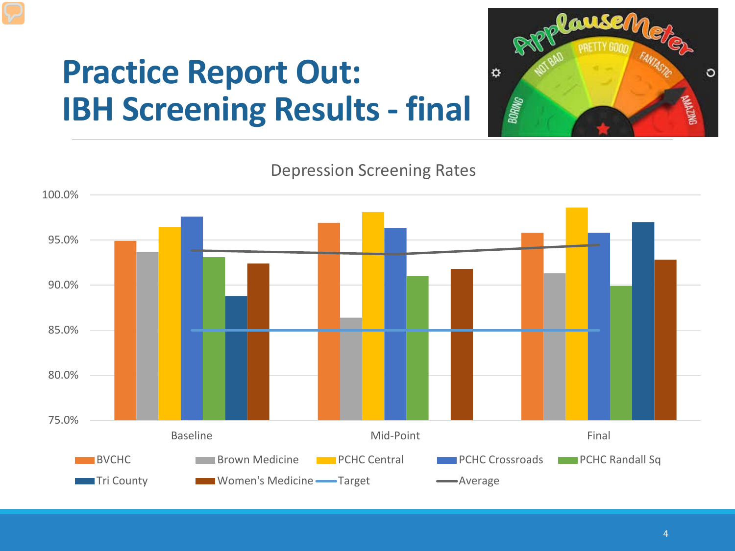

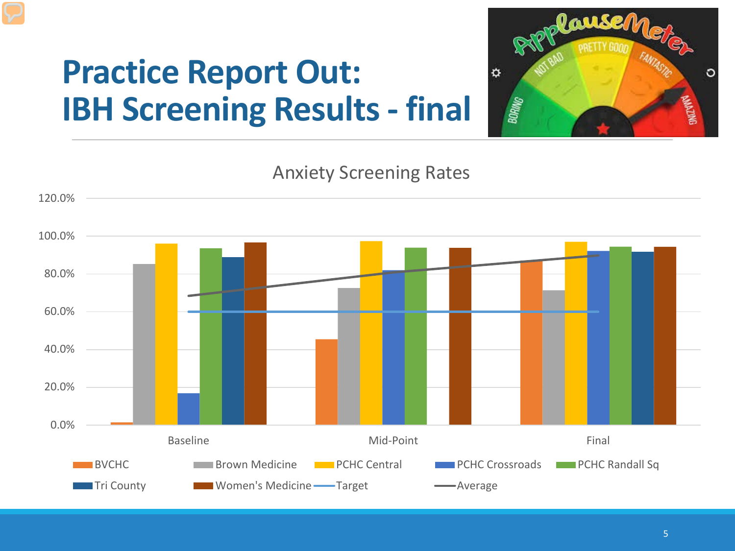

Anxiety Screening Rates

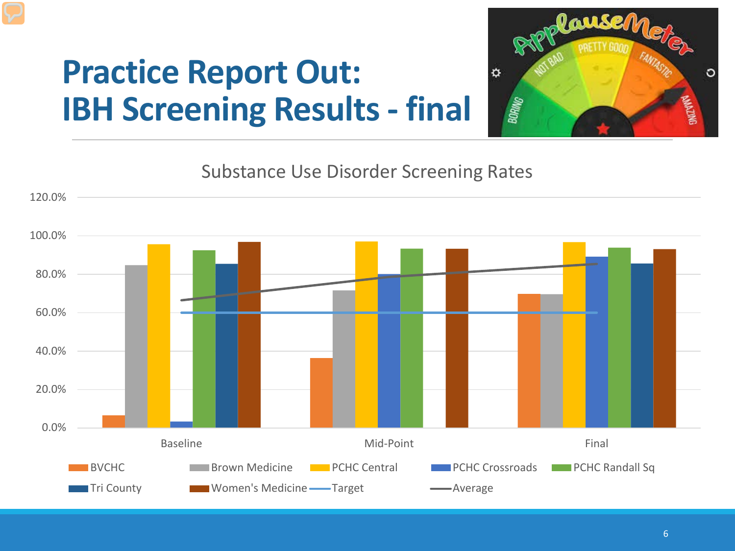

Substance Use Disorder Screening Rates

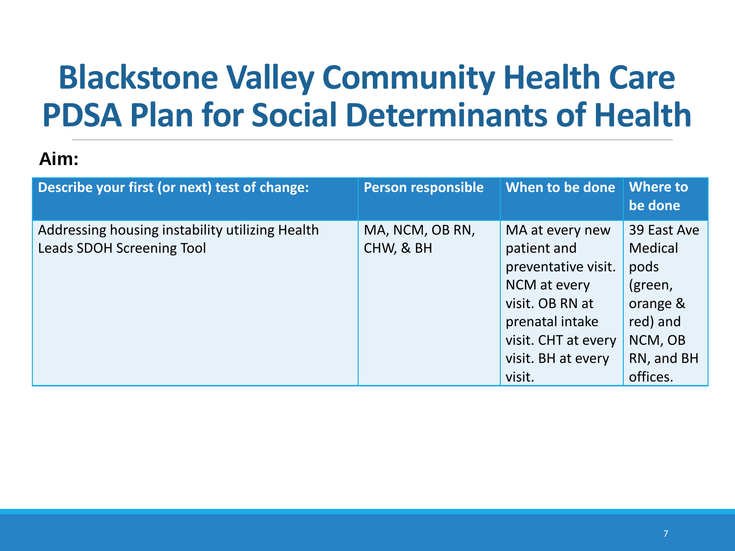## **Blackstone Valley Community Health Care PDSA Plan for Social Determinants of Health**

### **Aim:**

| Describe your first (or next) test of change:                                       | <b>Person responsible</b>    | When to be done                                                                                                                                                    | <b>Where to</b><br>be done                                                                             |
|-------------------------------------------------------------------------------------|------------------------------|--------------------------------------------------------------------------------------------------------------------------------------------------------------------|--------------------------------------------------------------------------------------------------------|
| Addressing housing instability utilizing Health<br><b>Leads SDOH Screening Tool</b> | MA, NCM, OB RN,<br>CHW, & BH | MA at every new<br>patient and<br>preventative visit.<br>NCM at every<br>visit. OB RN at<br>prenatal intake<br>visit. CHT at every<br>visit. BH at every<br>visit. | 39 East Ave<br>Medical<br>pods<br>(green,<br>orange &<br>red) and<br>NCM, OB<br>RN, and BH<br>offices. |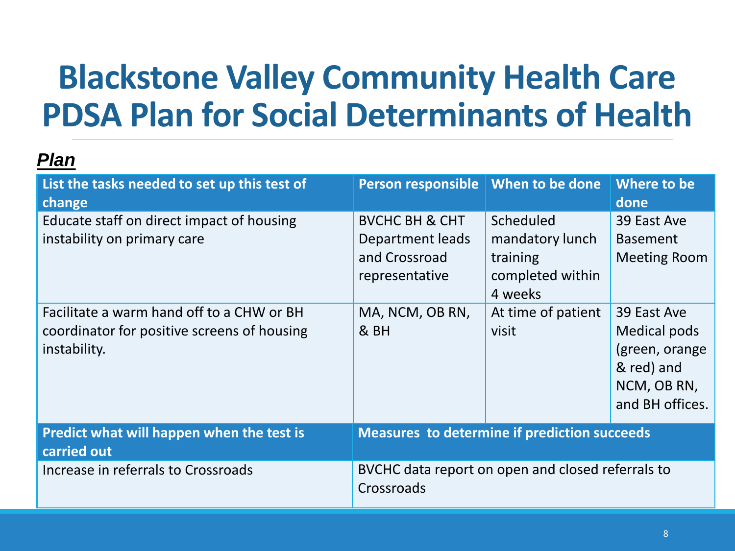# **Blackstone Valley Community Health Care PDSA Plan for Social Determinants of Health**

| List the tasks needed to set up this test of<br>change                                                   | Person responsible   When to be done                                             |                                                                         | Where to be<br>done                                                                           |
|----------------------------------------------------------------------------------------------------------|----------------------------------------------------------------------------------|-------------------------------------------------------------------------|-----------------------------------------------------------------------------------------------|
| Educate staff on direct impact of housing<br>instability on primary care                                 | <b>BVCHC BH &amp; CHT</b><br>Department leads<br>and Crossroad<br>representative | Scheduled<br>mandatory lunch<br>training<br>completed within<br>4 weeks | 39 East Ave<br><b>Basement</b><br><b>Meeting Room</b>                                         |
| Facilitate a warm hand off to a CHW or BH<br>coordinator for positive screens of housing<br>instability. | MA, NCM, OB RN,<br>& BH                                                          | At time of patient<br>visit                                             | 39 East Ave<br>Medical pods<br>(green, orange<br>& red) and<br>NCM, OB RN,<br>and BH offices. |
| Predict what will happen when the test is<br>carried out                                                 | <b>Measures to determine if prediction succeeds</b>                              |                                                                         |                                                                                               |
| Increase in referrals to Crossroads                                                                      | BVCHC data report on open and closed referrals to<br>Crossroads                  |                                                                         |                                                                                               |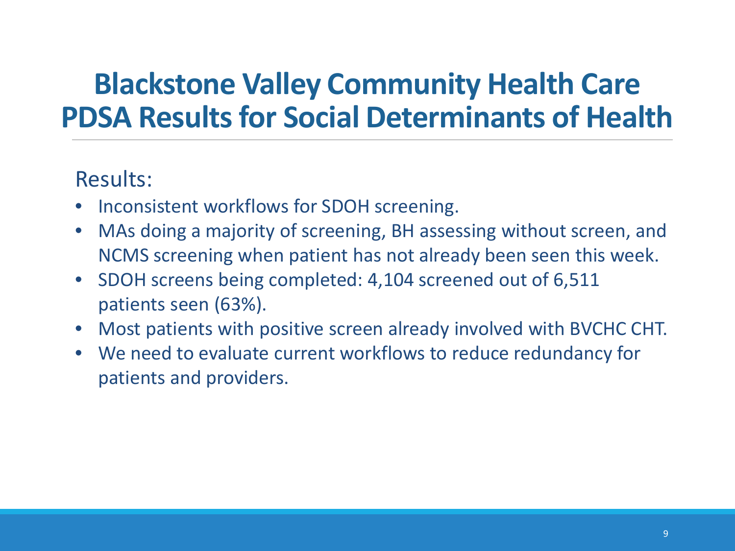### **Blackstone Valley Community Health Care PDSA Results for Social Determinants of Health**

### Results:

- Inconsistent workflows for SDOH screening.
- MAs doing a majority of screening, BH assessing without screen, and NCMS screening when patient has not already been seen this week.
- SDOH screens being completed: 4,104 screened out of 6,511 patients seen (63%).
- Most patients with positive screen already involved with BVCHC CHT.
- We need to evaluate current workflows to reduce redundancy for patients and providers.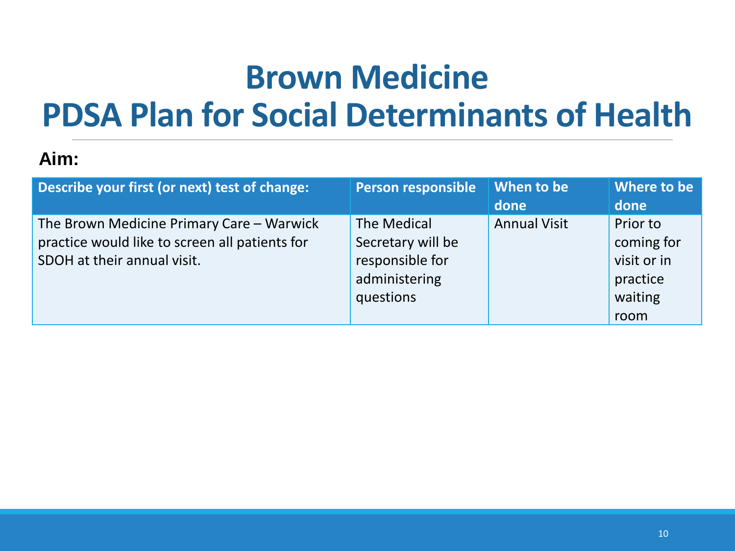# **Brown Medicine PDSA Plan for Social Determinants of Health**

### **Aim:**

| Describe your first (or next) test of change:                                                                              | <b>Person responsible</b>                                                         | When to be<br>done  | Where to be<br>done                                                  |
|----------------------------------------------------------------------------------------------------------------------------|-----------------------------------------------------------------------------------|---------------------|----------------------------------------------------------------------|
| The Brown Medicine Primary Care - Warwick<br>practice would like to screen all patients for<br>SDOH at their annual visit. | The Medical<br>Secretary will be<br>responsible for<br>administering<br>questions | <b>Annual Visit</b> | Prior to<br>coming for<br>visit or in<br>practice<br>waiting<br>room |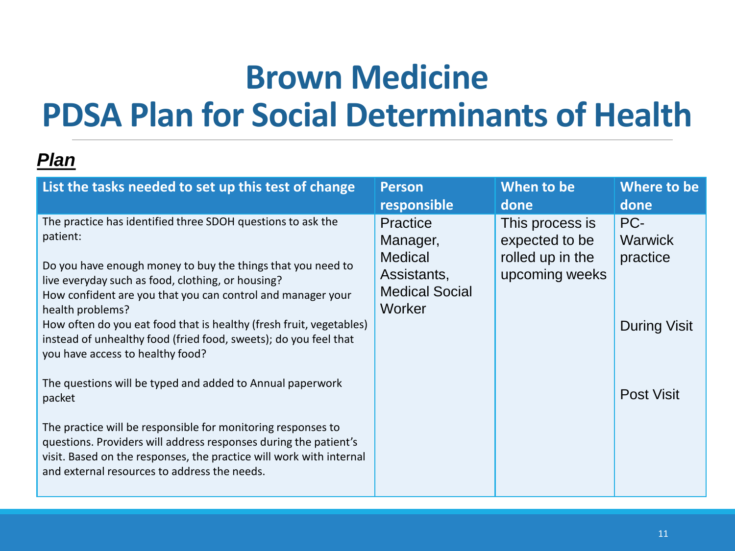## **Brown Medicine PDSA Plan for Social Determinants of Health**

| List the tasks needed to set up this test of change                                                                                                                                                                                                                                                                                                                                                                                                                                                                                                                                                                                                                                                                                                                                             | <b>Person</b>                                                                                          | When to be                                                              | Where to be                                                            |
|-------------------------------------------------------------------------------------------------------------------------------------------------------------------------------------------------------------------------------------------------------------------------------------------------------------------------------------------------------------------------------------------------------------------------------------------------------------------------------------------------------------------------------------------------------------------------------------------------------------------------------------------------------------------------------------------------------------------------------------------------------------------------------------------------|--------------------------------------------------------------------------------------------------------|-------------------------------------------------------------------------|------------------------------------------------------------------------|
|                                                                                                                                                                                                                                                                                                                                                                                                                                                                                                                                                                                                                                                                                                                                                                                                 | responsible                                                                                            | done                                                                    | done                                                                   |
| The practice has identified three SDOH questions to ask the<br>patient:<br>Do you have enough money to buy the things that you need to<br>live everyday such as food, clothing, or housing?<br>How confident are you that you can control and manager your<br>health problems?<br>How often do you eat food that is healthy (fresh fruit, vegetables)<br>instead of unhealthy food (fried food, sweets); do you feel that<br>you have access to healthy food?<br>The questions will be typed and added to Annual paperwork<br>packet<br>The practice will be responsible for monitoring responses to<br>questions. Providers will address responses during the patient's<br>visit. Based on the responses, the practice will work with internal<br>and external resources to address the needs. | <b>Practice</b><br>Manager,<br><b>Medical</b><br>Assistants,<br><b>Medical Social</b><br><b>Worker</b> | This process is<br>expected to be<br>rolled up in the<br>upcoming weeks | PC-<br>Warwick<br>practice<br><b>During Visit</b><br><b>Post Visit</b> |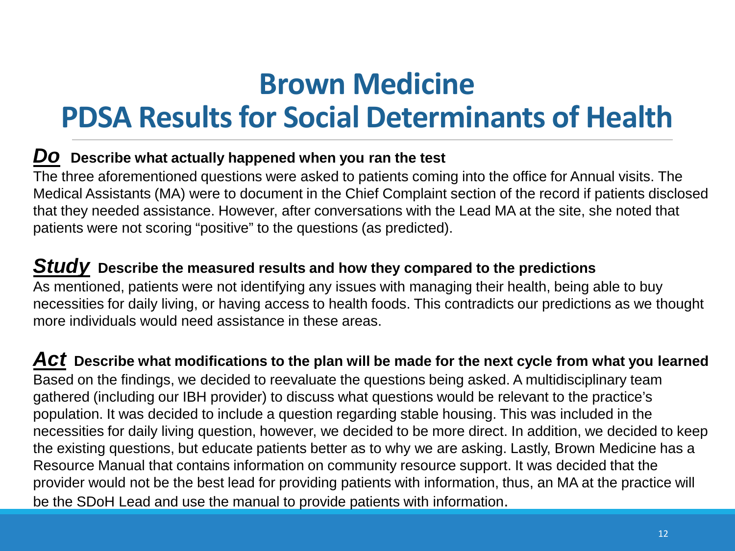### **Brown Medicine**

### **PDSA Results for Social Determinants of Health**

#### *Do* **Describe what actually happened when you ran the test**

The three aforementioned questions were asked to patients coming into the office for Annual visits. The Medical Assistants (MA) were to document in the Chief Complaint section of the record if patients disclosed that they needed assistance. However, after conversations with the Lead MA at the site, she noted that patients were not scoring "positive" to the questions (as predicted).

#### *Study* **Describe the measured results and how they compared to the predictions**

As mentioned, patients were not identifying any issues with managing their health, being able to buy necessities for daily living, or having access to health foods. This contradicts our predictions as we thought more individuals would need assistance in these areas.

*Act* **Describe what modifications to the plan will be made for the next cycle from what you learned** Based on the findings, we decided to reevaluate the questions being asked. A multidisciplinary team gathered (including our IBH provider) to discuss what questions would be relevant to the practice's population. It was decided to include a question regarding stable housing. This was included in the necessities for daily living question, however, we decided to be more direct. In addition, we decided to keep the existing questions, but educate patients better as to why we are asking. Lastly, Brown Medicine has a Resource Manual that contains information on community resource support. It was decided that the provider would not be the best lead for providing patients with information, thus, an MA at the practice will be the SDoH Lead and use the manual to provide patients with information.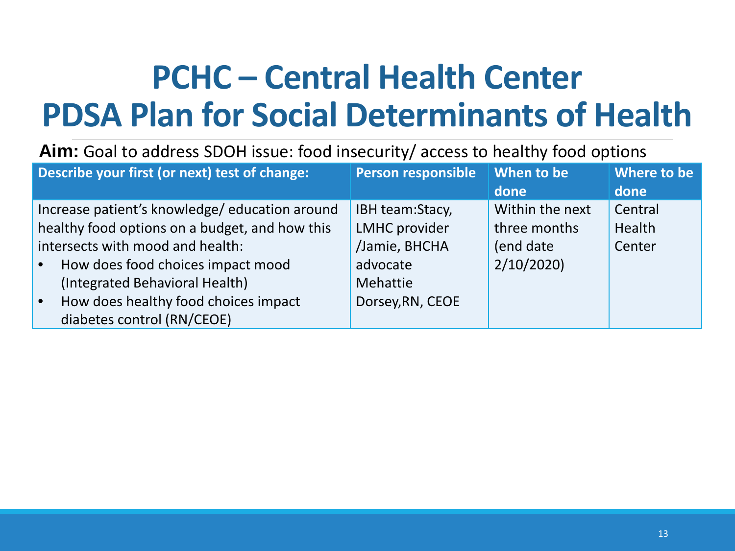# **PCHC – Central Health Center PDSA Plan for Social Determinants of Health**

#### **Aim:** Goal to address SDOH issue: food insecurity/ access to healthy food options

| Describe your first (or next) test of change:     | Person responsible   | When to be      | Where to be |
|---------------------------------------------------|----------------------|-----------------|-------------|
|                                                   |                      | done            | done        |
| Increase patient's knowledge/education around     | IBH team:Stacy,      | Within the next | Central     |
| healthy food options on a budget, and how this    | <b>LMHC</b> provider | three months    | Health      |
| intersects with mood and health:                  | /Jamie, BHCHA        | (end date       | Center      |
| How does food choices impact mood<br>$\bullet$    | advocate             | 2/10/2020       |             |
| (Integrated Behavioral Health)                    | Mehattie             |                 |             |
| How does healthy food choices impact<br>$\bullet$ | Dorsey, RN, CEOE     |                 |             |
| diabetes control (RN/CEOE)                        |                      |                 |             |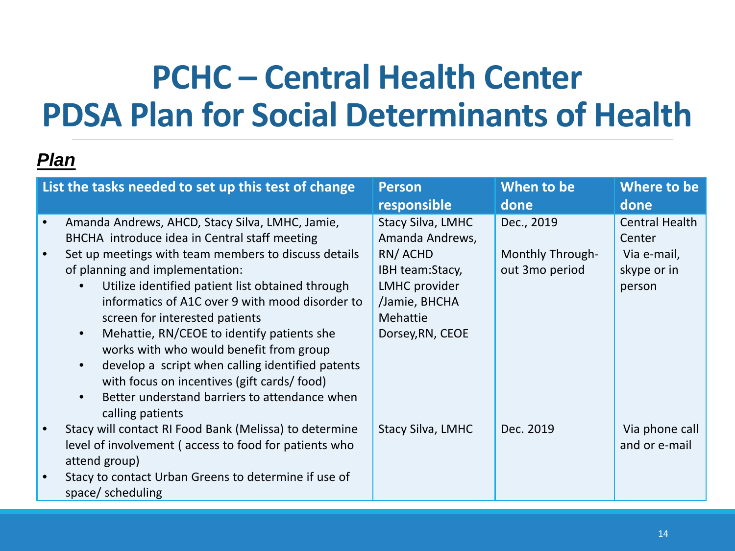## **PCHC – Central Health Center PDSA Plan for Social Determinants of Health**

| List the tasks needed to set up this test of change                                                                                                                                                                                                                                                                                                                                                                                                                                                                                                                                                  | <b>Person</b><br>responsible                                                                                                                | When to be<br>done                                      | Where to be<br>done                                              |
|------------------------------------------------------------------------------------------------------------------------------------------------------------------------------------------------------------------------------------------------------------------------------------------------------------------------------------------------------------------------------------------------------------------------------------------------------------------------------------------------------------------------------------------------------------------------------------------------------|---------------------------------------------------------------------------------------------------------------------------------------------|---------------------------------------------------------|------------------------------------------------------------------|
| Amanda Andrews, AHCD, Stacy Silva, LMHC, Jamie,<br>BHCHA introduce idea in Central staff meeting<br>Set up meetings with team members to discuss details<br>of planning and implementation:<br>Utilize identified patient list obtained through<br>informatics of A1C over 9 with mood disorder to<br>screen for interested patients<br>Mehattie, RN/CEOE to identify patients she<br>works with who would benefit from group<br>develop a script when calling identified patents<br>with focus on incentives (gift cards/food)<br>Better understand barriers to attendance when<br>calling patients | <b>Stacy Silva, LMHC</b><br>Amanda Andrews,<br>RN/ACHD<br>IBH team:Stacy,<br>LMHC provider<br>/Jamie, BHCHA<br>Mehattie<br>Dorsey, RN, CEOE | Dec., 2019<br><b>Monthly Through-</b><br>out 3mo period | Central Health<br>Center<br>Via e-mail,<br>skype or in<br>person |
| Stacy will contact RI Food Bank (Melissa) to determine<br>level of involvement (access to food for patients who<br>attend group)<br>Stacy to contact Urban Greens to determine if use of<br>space/scheduling                                                                                                                                                                                                                                                                                                                                                                                         | <b>Stacy Silva, LMHC</b>                                                                                                                    | Dec. 2019                                               | Via phone call<br>and or e-mail                                  |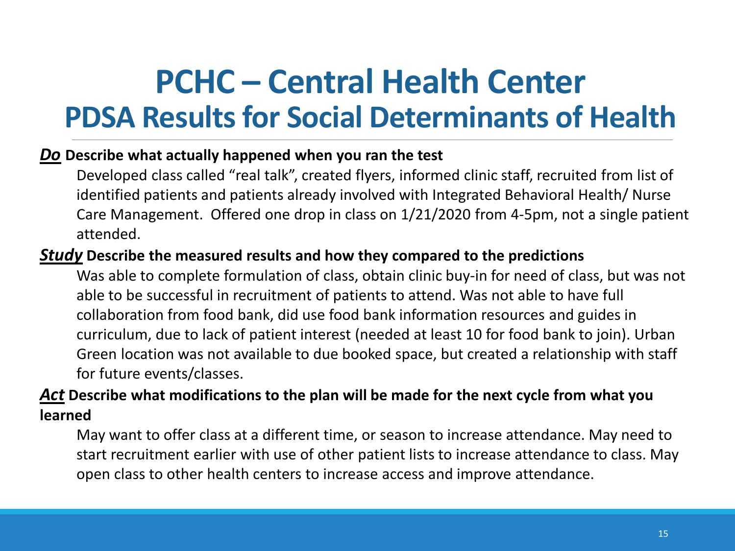### **PCHC – Central Health Center PDSA Results for Social Determinants of Health**

#### *Do* **Describe what actually happened when you ran the test**

Developed class called "real talk", created flyers, informed clinic staff, recruited from list of identified patients and patients already involved with Integrated Behavioral Health/ Nurse Care Management. Offered one drop in class on 1/21/2020 from 4-5pm, not a single patient attended.

#### *Study* **Describe the measured results and how they compared to the predictions**

Was able to complete formulation of class, obtain clinic buy-in for need of class, but was not able to be successful in recruitment of patients to attend. Was not able to have full collaboration from food bank, did use food bank information resources and guides in curriculum, due to lack of patient interest (needed at least 10 for food bank to join). Urban Green location was not available to due booked space, but created a relationship with staff for future events/classes.

#### *Act* **Describe what modifications to the plan will be made for the next cycle from what you learned**

May want to offer class at a different time, or season to increase attendance. May need to start recruitment earlier with use of other patient lists to increase attendance to class. May open class to other health centers to increase access and improve attendance.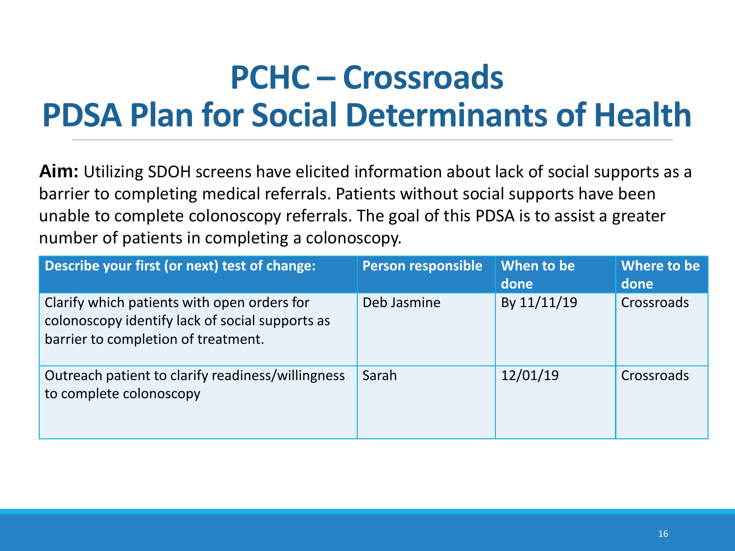# **PCHC – Crossroads PDSA Plan for Social Determinants of Health**

**Aim:** Utilizing SDOH screens have elicited information about lack of social supports as a barrier to completing medical referrals. Patients without social supports have been unable to complete colonoscopy referrals. The goal of this PDSA is to assist a greater number of patients in completing a colonoscopy.

| Describe your first (or next) test of change:                                                                                         | <b>Person responsible</b> | When to be<br>done | Where to be<br>done |
|---------------------------------------------------------------------------------------------------------------------------------------|---------------------------|--------------------|---------------------|
| Clarify which patients with open orders for<br>colonoscopy identify lack of social supports as<br>barrier to completion of treatment. | Deb Jasmine               | By 11/11/19        | Crossroads          |
| Outreach patient to clarify readiness/willingness<br>to complete colonoscopy                                                          | Sarah                     | 12/01/19           | Crossroads          |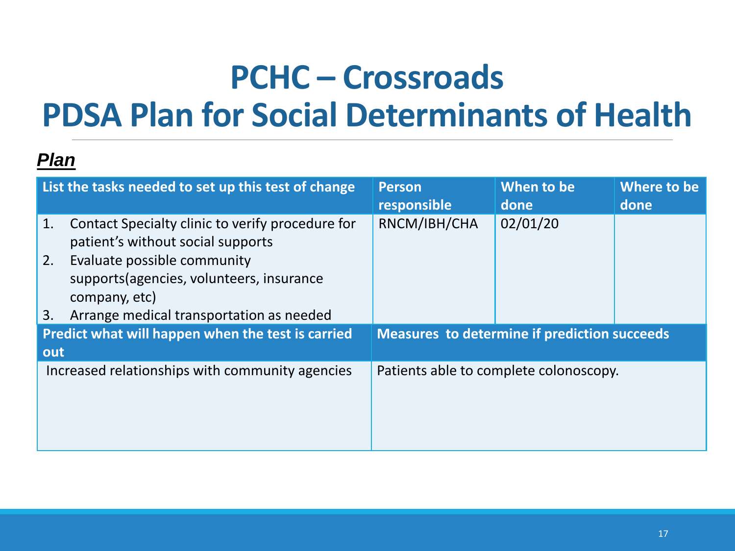# **PCHC – Crossroads PDSA Plan for Social Determinants of Health**

|     | List the tasks needed to set up this test of change                                       | <b>Person</b><br>responsible                        | When to be<br>done | Where to be<br>done |  |  |
|-----|-------------------------------------------------------------------------------------------|-----------------------------------------------------|--------------------|---------------------|--|--|
| 1.  | Contact Specialty clinic to verify procedure for<br>patient's without social supports     | RNCM/IBH/CHA                                        | 02/01/20           |                     |  |  |
| 2.  | Evaluate possible community<br>supports (agencies, volunteers, insurance<br>company, etc) |                                                     |                    |                     |  |  |
| 3.  | Arrange medical transportation as needed                                                  |                                                     |                    |                     |  |  |
|     | Predict what will happen when the test is carried                                         | <b>Measures to determine if prediction succeeds</b> |                    |                     |  |  |
| out |                                                                                           |                                                     |                    |                     |  |  |
|     | Increased relationships with community agencies                                           | Patients able to complete colonoscopy.              |                    |                     |  |  |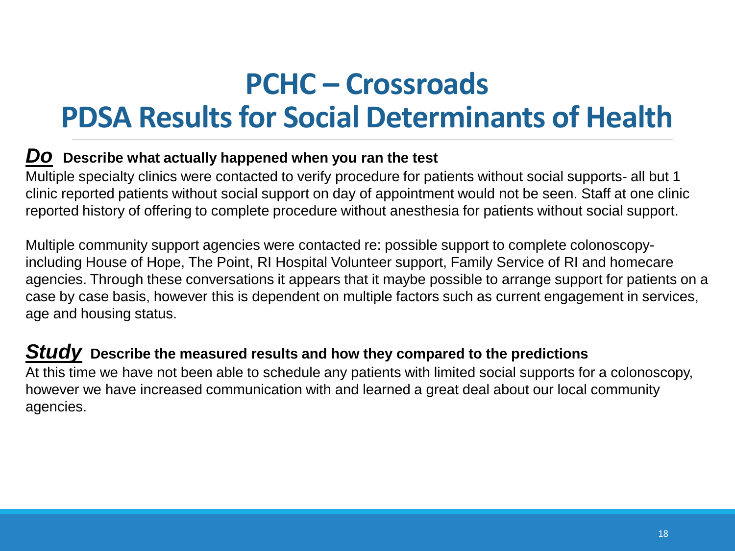### **PCHC – Crossroads PDSA Results for Social Determinants of Health**

#### *Do* **Describe what actually happened when you ran the test**

Multiple specialty clinics were contacted to verify procedure for patients without social supports- all but 1 clinic reported patients without social support on day of appointment would not be seen. Staff at one clinic reported history of offering to complete procedure without anesthesia for patients without social support.

Multiple community support agencies were contacted re: possible support to complete colonoscopyincluding House of Hope, The Point, RI Hospital Volunteer support, Family Service of RI and homecare agencies. Through these conversations it appears that it maybe possible to arrange support for patients on a case by case basis, however this is dependent on multiple factors such as current engagement in services, age and housing status.

#### *Study* **Describe the measured results and how they compared to the predictions**

At this time we have not been able to schedule any patients with limited social supports for a colonoscopy, however we have increased communication with and learned a great deal about our local community agencies.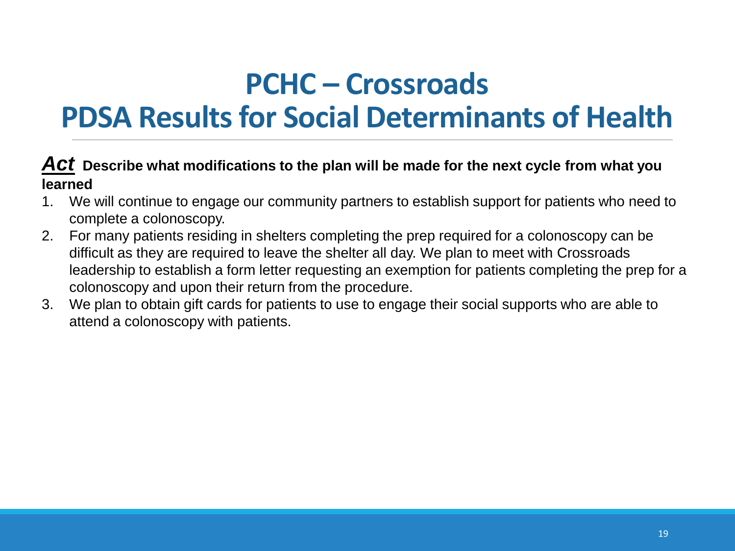### **PCHC – Crossroads**

### **PDSA Results for Social Determinants of Health**

#### *Act* **Describe what modifications to the plan will be made for the next cycle from what you learned**

- 1. We will continue to engage our community partners to establish support for patients who need to complete a colonoscopy.
- 2. For many patients residing in shelters completing the prep required for a colonoscopy can be difficult as they are required to leave the shelter all day. We plan to meet with Crossroads leadership to establish a form letter requesting an exemption for patients completing the prep for a colonoscopy and upon their return from the procedure.
- 3. We plan to obtain gift cards for patients to use to engage their social supports who are able to attend a colonoscopy with patients.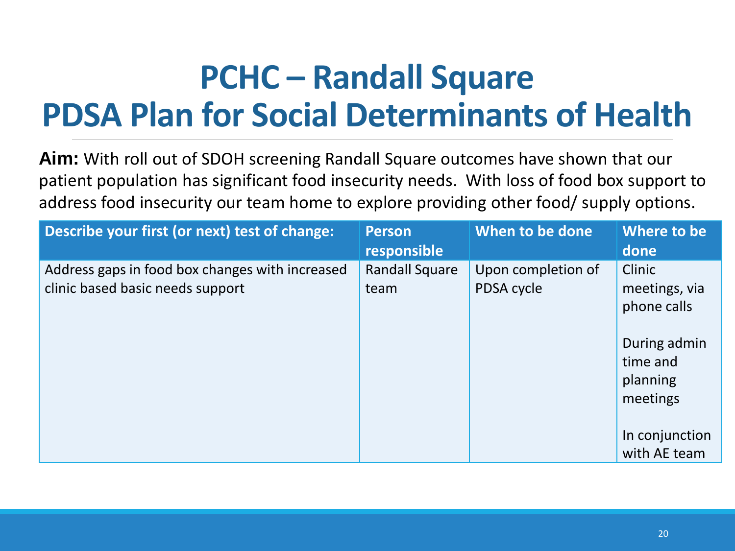# **PCHC – Randall Square PDSA Plan for Social Determinants of Health**

**Aim:** With roll out of SDOH screening Randall Square outcomes have shown that our patient population has significant food insecurity needs. With loss of food box support to address food insecurity our team home to explore providing other food/ supply options.

| Describe your first (or next) test of change:                                       | <b>Person</b><br>responsible  | When to be done                  | Where to be<br>done                              |
|-------------------------------------------------------------------------------------|-------------------------------|----------------------------------|--------------------------------------------------|
| Address gaps in food box changes with increased<br>clinic based basic needs support | <b>Randall Square</b><br>team | Upon completion of<br>PDSA cycle | Clinic<br>meetings, via<br>phone calls           |
|                                                                                     |                               |                                  | During admin<br>time and<br>planning<br>meetings |
|                                                                                     |                               |                                  | In conjunction<br>with AE team                   |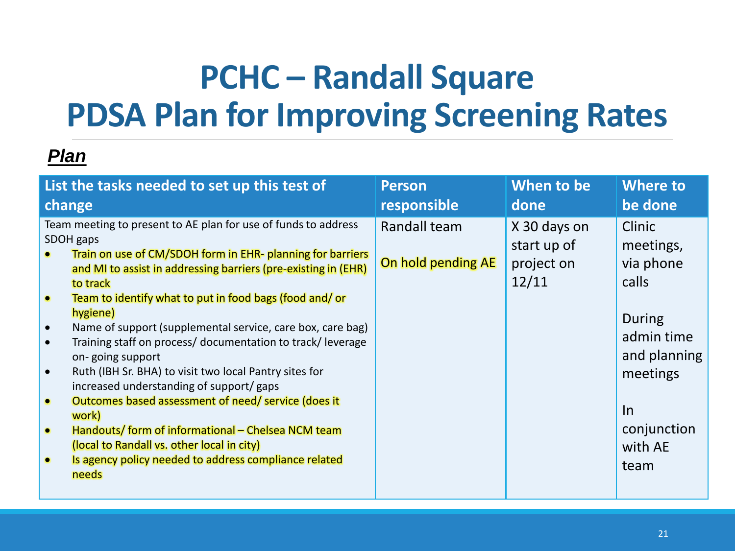# **PCHC – Randall Square PDSA Plan for Improving Screening Rates**

| List the tasks needed to set up this test of                                                                                                                                                                                                                                                                                                                                                                                                                                                                                                                                                                                                                                                                                                                                                                                                                                          | <b>Person</b>                      | When to be                                         | <b>Where to</b>                                                                                                                          |
|---------------------------------------------------------------------------------------------------------------------------------------------------------------------------------------------------------------------------------------------------------------------------------------------------------------------------------------------------------------------------------------------------------------------------------------------------------------------------------------------------------------------------------------------------------------------------------------------------------------------------------------------------------------------------------------------------------------------------------------------------------------------------------------------------------------------------------------------------------------------------------------|------------------------------------|----------------------------------------------------|------------------------------------------------------------------------------------------------------------------------------------------|
| change                                                                                                                                                                                                                                                                                                                                                                                                                                                                                                                                                                                                                                                                                                                                                                                                                                                                                | responsible                        | done                                               | be done                                                                                                                                  |
| Team meeting to present to AE plan for use of funds to address<br>SDOH gaps<br>Train on use of CM/SDOH form in EHR- planning for barriers<br>and MI to assist in addressing barriers (pre-existing in (EHR)<br>to track<br>Team to identify what to put in food bags (food and/ or<br>$\bullet$<br>hygiene)<br>Name of support (supplemental service, care box, care bag)<br>$\bullet$<br>Training staff on process/ documentation to track/ leverage<br>$\bullet$<br>on-going support<br>Ruth (IBH Sr. BHA) to visit two local Pantry sites for<br>$\bullet$<br>increased understanding of support/gaps<br>Outcomes based assessment of need/ service (does it<br>$\bullet$<br>work)<br>Handouts/ form of informational - Chelsea NCM team<br>$\bullet$<br>(local to Randall vs. other local in city)<br>Is agency policy needed to address compliance related<br>$\bullet$<br>needs | Randall team<br>On hold pending AE | X 30 days on<br>start up of<br>project on<br>12/11 | Clinic<br>meetings,<br>via phone<br>calls<br>During<br>admin time<br>and planning<br>meetings<br>$\ln$<br>conjunction<br>with AE<br>team |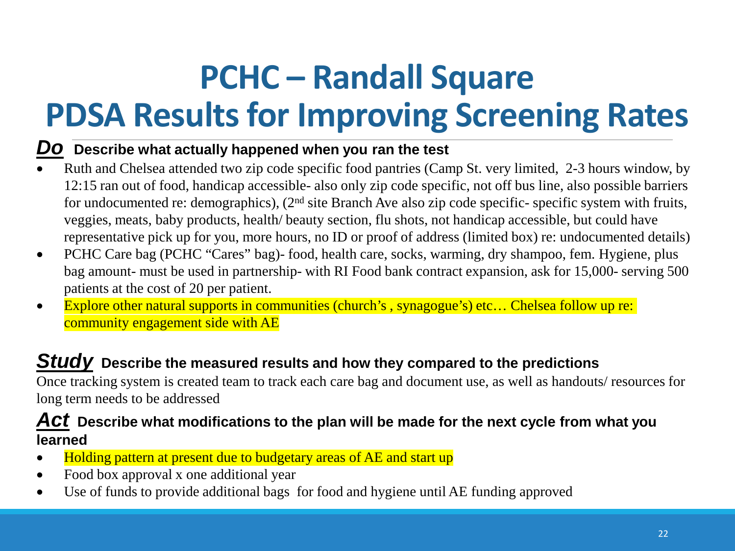# **PCHC – Randall Square PDSA Results for Improving Screening Rates**

#### *Do* **Describe what actually happened when you ran the test**

- Ruth and Chelsea attended two zip code specific food pantries (Camp St. very limited, 2-3 hours window, by 12:15 ran out of food, handicap accessible- also only zip code specific, not off bus line, also possible barriers for undocumented re: demographics), (2nd site Branch Ave also zip code specific- specific system with fruits, veggies, meats, baby products, health/ beauty section, flu shots, not handicap accessible, but could have representative pick up for you, more hours, no ID or proof of address (limited box) re: undocumented details)
- PCHC Care bag (PCHC "Cares" bag)- food, health care, socks, warming, dry shampoo, fem. Hygiene, plus bag amount- must be used in partnership- with RI Food bank contract expansion, ask for 15,000- serving 500 patients at the cost of 20 per patient.
- Explore other natural supports in communities (church's, synagogue's) etc... Chelsea follow up re: community engagement side with AE

#### *Study* **Describe the measured results and how they compared to the predictions**

Once tracking system is created team to track each care bag and document use, as well as handouts/ resources for long term needs to be addressed

#### *Act* **Describe what modifications to the plan will be made for the next cycle from what you learned**

- Holding pattern at present due to budgetary areas of AE and start up
- Food box approval x one additional year
- Use of funds to provide additional bags for food and hygiene until AE funding approved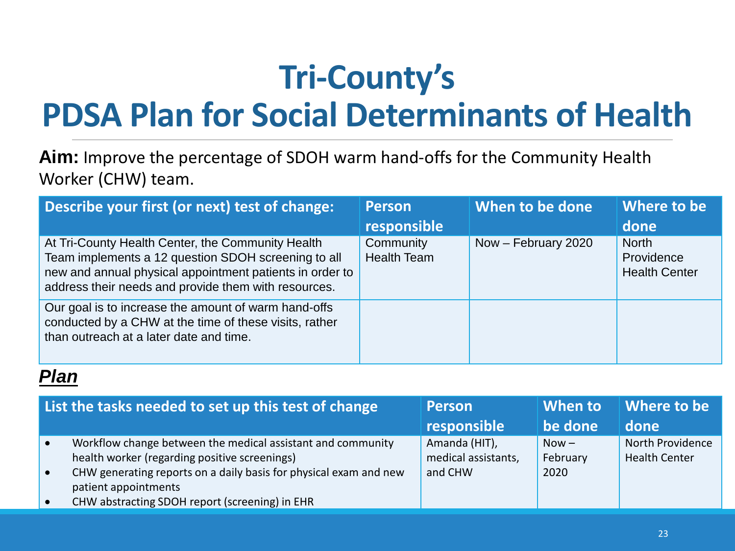# **Tri-County's PDSA Plan for Social Determinants of Health**

**Aim:** Improve the percentage of SDOH warm hand-offs for the Community Health Worker (CHW) team.

| Describe your first (or next) test of change:                                                                                                                                                                                | <b>Person</b><br>responsible    | When to be done     | Where to be<br>done                                |
|------------------------------------------------------------------------------------------------------------------------------------------------------------------------------------------------------------------------------|---------------------------------|---------------------|----------------------------------------------------|
| At Tri-County Health Center, the Community Health<br>Team implements a 12 question SDOH screening to all<br>new and annual physical appointment patients in order to<br>address their needs and provide them with resources. | Community<br><b>Health Team</b> | Now - February 2020 | <b>North</b><br>Providence<br><b>Health Center</b> |
| Our goal is to increase the amount of warm hand-offs<br>conducted by a CHW at the time of these visits, rather<br>than outreach at a later date and time.                                                                    |                                 |                     |                                                    |

| List the tasks needed to set up this test of change                                                                                                                                                                                                         | <b>Person</b><br>responsible                    | When to<br>be done          | Where to be<br>done                      |
|-------------------------------------------------------------------------------------------------------------------------------------------------------------------------------------------------------------------------------------------------------------|-------------------------------------------------|-----------------------------|------------------------------------------|
| Workflow change between the medical assistant and community<br>health worker (regarding positive screenings)<br>CHW generating reports on a daily basis for physical exam and new<br>patient appointments<br>CHW abstracting SDOH report (screening) in EHR | Amanda (HIT),<br>medical assistants,<br>and CHW | $Now -$<br>February<br>2020 | North Providence<br><b>Health Center</b> |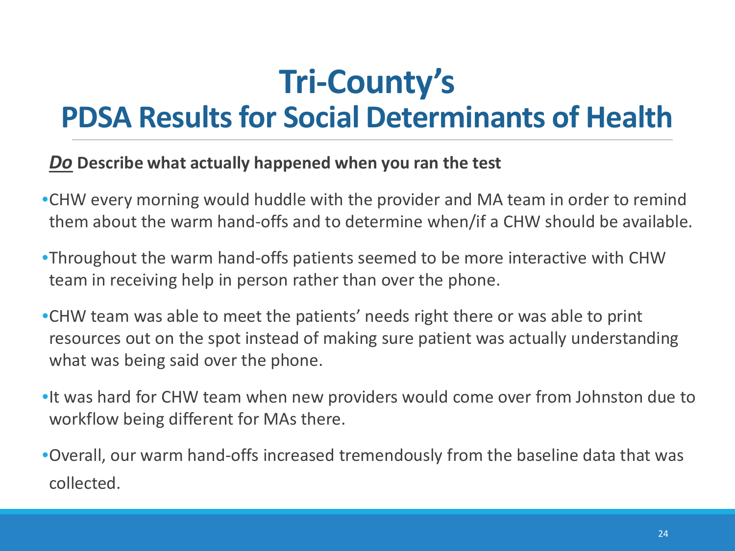### **Tri-County's PDSA Results for Social Determinants of Health**

#### *Do* **Describe what actually happened when you ran the test**

- •CHW every morning would huddle with the provider and MA team in order to remind them about the warm hand-offs and to determine when/if a CHW should be available.
- •Throughout the warm hand-offs patients seemed to be more interactive with CHW team in receiving help in person rather than over the phone.
- •CHW team was able to meet the patients' needs right there or was able to print resources out on the spot instead of making sure patient was actually understanding what was being said over the phone.
- •It was hard for CHW team when new providers would come over from Johnston due to workflow being different for MAs there.
- •Overall, our warm hand-offs increased tremendously from the baseline data that was collected.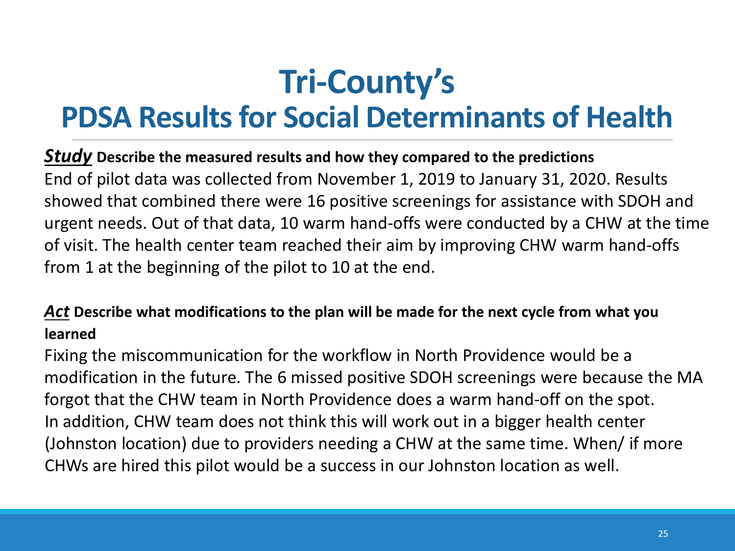# **Tri-County's**

### **PDSA Results for Social Determinants of Health**

#### *Study* **Describe the measured results and how they compared to the predictions**

End of pilot data was collected from November 1, 2019 to January 31, 2020. Results showed that combined there were 16 positive screenings for assistance with SDOH and urgent needs. Out of that data, 10 warm hand-offs were conducted by a CHW at the time of visit. The health center team reached their aim by improving CHW warm hand-offs from 1 at the beginning of the pilot to 10 at the end.

### *Act* **Describe what modifications to the plan will be made for the next cycle from what you learned**

Fixing the miscommunication for the workflow in North Providence would be a modification in the future. The 6 missed positive SDOH screenings were because the MA forgot that the CHW team in North Providence does a warm hand-off on the spot. In addition, CHW team does not think this will work out in a bigger health center (Johnston location) due to providers needing a CHW at the same time. When/ if more CHWs are hired this pilot would be a success in our Johnston location as well.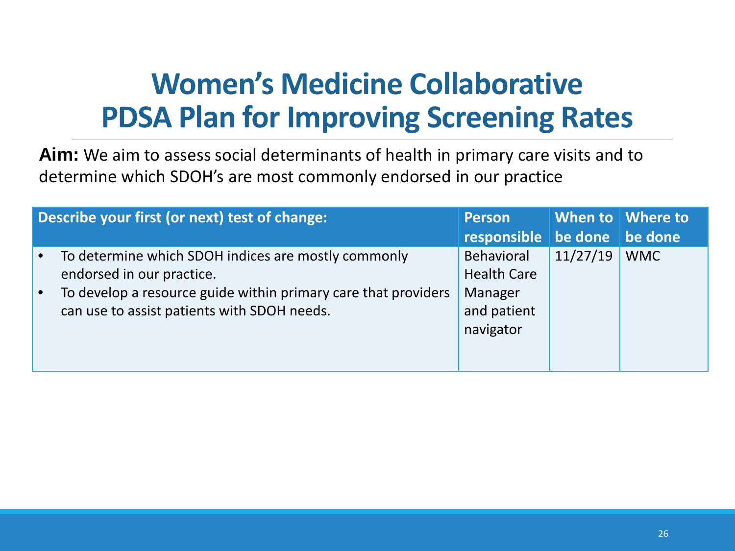### **Women's Medicine Collaborative PDSA Plan for Improving Screening Rates**

**Aim:** We aim to assess social determinants of health in primary care visits and to determine which SDOH's are most commonly endorsed in our practice

| Describe your first (or next) test of change:                  | <b>Person</b>                   |          | When to Where to |
|----------------------------------------------------------------|---------------------------------|----------|------------------|
|                                                                | responsible   be done   be done |          |                  |
| To determine which SDOH indices are mostly commonly            | Behavioral                      | 11/27/19 | <b>WMC</b>       |
| endorsed in our practice.                                      | <b>Health Care</b>              |          |                  |
| To develop a resource guide within primary care that providers | Manager                         |          |                  |
| can use to assist patients with SDOH needs.                    | and patient                     |          |                  |
|                                                                | navigator                       |          |                  |
|                                                                |                                 |          |                  |
|                                                                |                                 |          |                  |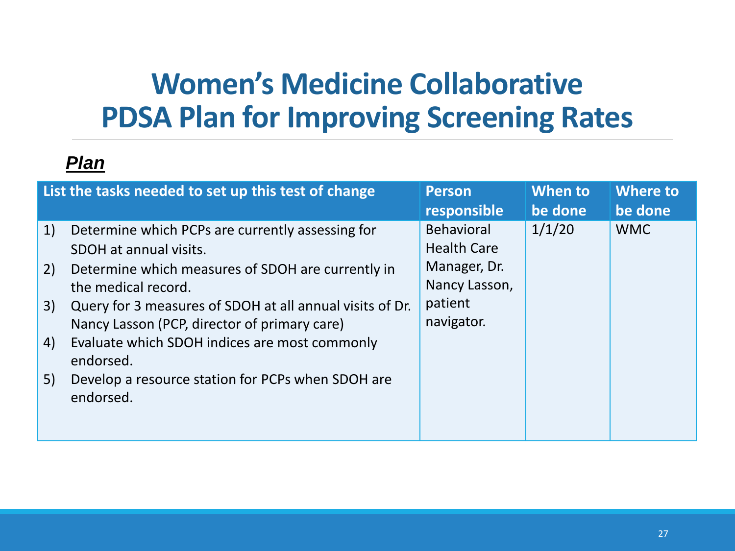### **Women's Medicine Collaborative PDSA Plan for Improving Screening Rates**

| List the tasks needed to set up this test of change                                                                                                                                                                                                                                                                                                                                                                              | <b>Person</b>                                                                                     | When to | <b>Where to</b> |
|----------------------------------------------------------------------------------------------------------------------------------------------------------------------------------------------------------------------------------------------------------------------------------------------------------------------------------------------------------------------------------------------------------------------------------|---------------------------------------------------------------------------------------------------|---------|-----------------|
|                                                                                                                                                                                                                                                                                                                                                                                                                                  | responsible                                                                                       | be done | be done         |
| 1)<br>Determine which PCPs are currently assessing for<br>SDOH at annual visits.<br>Determine which measures of SDOH are currently in<br>2)<br>the medical record.<br>Query for 3 measures of SDOH at all annual visits of Dr.<br>3)<br>Nancy Lasson (PCP, director of primary care)<br>Evaluate which SDOH indices are most commonly<br>4)<br>endorsed.<br>Develop a resource station for PCPs when SDOH are<br>5)<br>endorsed. | <b>Behavioral</b><br><b>Health Care</b><br>Manager, Dr.<br>Nancy Lasson,<br>patient<br>navigator. | 1/1/20  | <b>WMC</b>      |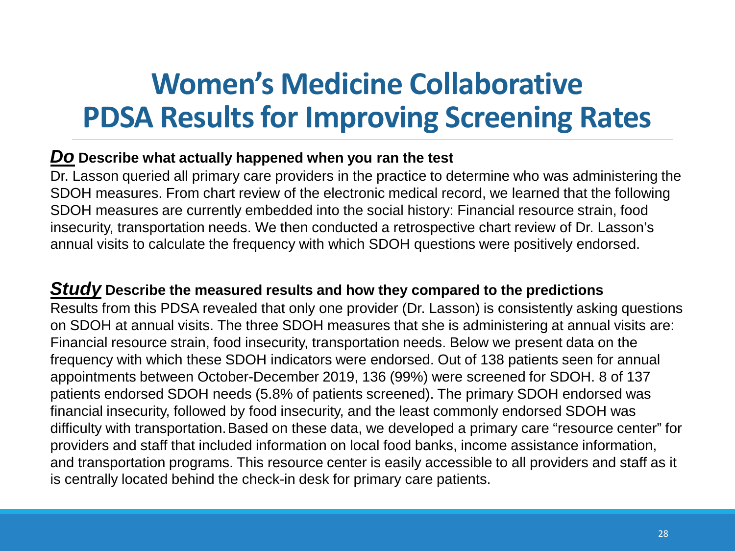### **Women's Medicine Collaborative PDSA Results for Improving Screening Rates**

#### *Do* **Describe what actually happened when you ran the test**

Dr. Lasson queried all primary care providers in the practice to determine who was administering the SDOH measures. From chart review of the electronic medical record, we learned that the following SDOH measures are currently embedded into the social history: Financial resource strain, food insecurity, transportation needs. We then conducted a retrospective chart review of Dr. Lasson's annual visits to calculate the frequency with which SDOH questions were positively endorsed.

#### *Study* **Describe the measured results and how they compared to the predictions**

Results from this PDSA revealed that only one provider (Dr. Lasson) is consistently asking questions on SDOH at annual visits. The three SDOH measures that she is administering at annual visits are: Financial resource strain, food insecurity, transportation needs. Below we present data on the frequency with which these SDOH indicators were endorsed. Out of 138 patients seen for annual appointments between October-December 2019, 136 (99%) were screened for SDOH. 8 of 137 patients endorsed SDOH needs (5.8% of patients screened). The primary SDOH endorsed was financial insecurity, followed by food insecurity, and the least commonly endorsed SDOH was difficulty with transportation.Based on these data, we developed a primary care "resource center" for providers and staff that included information on local food banks, income assistance information, and transportation programs. This resource center is easily accessible to all providers and staff as it is centrally located behind the check-in desk for primary care patients.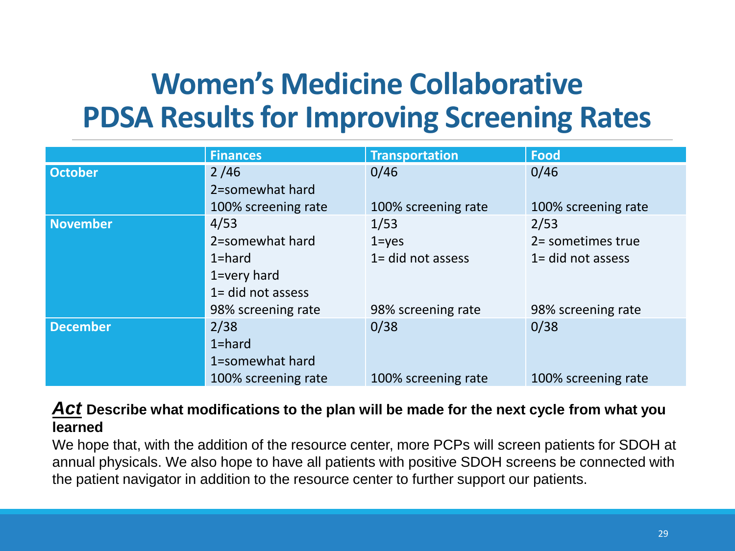### **Women's Medicine Collaborative PDSA Results for Improving Screening Rates**

|                 | <b>Finances</b>        | <b>Transportation</b> | <b>Food</b>          |
|-----------------|------------------------|-----------------------|----------------------|
| <b>October</b>  | 2/46                   | 0/46                  | 0/46                 |
|                 | 2=somewhat hard        |                       |                      |
|                 | 100% screening rate    | 100% screening rate   | 100% screening rate  |
| <b>November</b> | 4/53                   | 1/53                  | 2/53                 |
|                 | 2=somewhat hard        | $1 = yes$             | 2= sometimes true    |
|                 | $1 =$ hard             | $1 =$ did not assess  | $1 =$ did not assess |
|                 | $1 = \text{very hard}$ |                       |                      |
|                 | 1= did not assess      |                       |                      |
|                 | 98% screening rate     | 98% screening rate    | 98% screening rate   |
| <b>December</b> | 2/38                   | 0/38                  | 0/38                 |
|                 | $1 = hard$             |                       |                      |
|                 | 1=somewhat hard        |                       |                      |
|                 | 100% screening rate    | 100% screening rate   | 100% screening rate  |

#### *Act* **Describe what modifications to the plan will be made for the next cycle from what you learned**

We hope that, with the addition of the resource center, more PCPs will screen patients for SDOH at annual physicals. We also hope to have all patients with positive SDOH screens be connected with the patient navigator in addition to the resource center to further support our patients.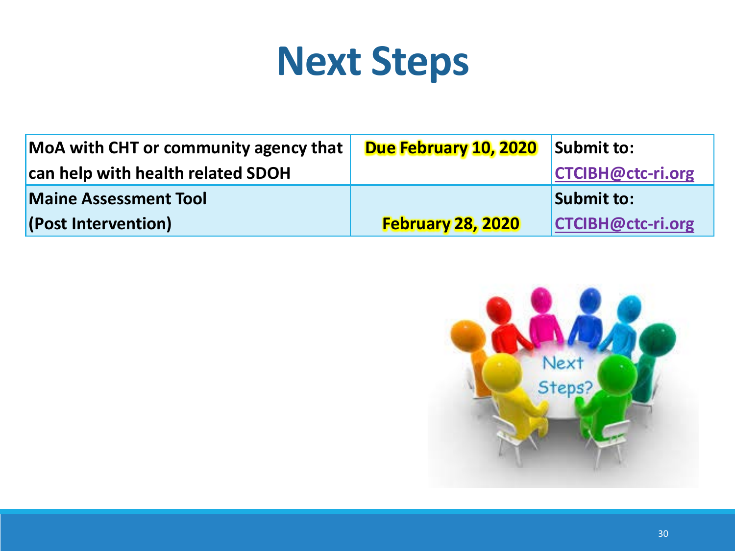# **Next Steps**

| MoA with CHT or community agency that | Due February 10, 2020    | Submit to:               |
|---------------------------------------|--------------------------|--------------------------|
| can help with health related SDOH     |                          | <b>CTCIBH@ctc-ri.org</b> |
| <b>Maine Assessment Tool</b>          |                          | Submit to:               |
| (Post Intervention)                   | <b>February 28, 2020</b> | CTCIBH@ctc-ri.org        |

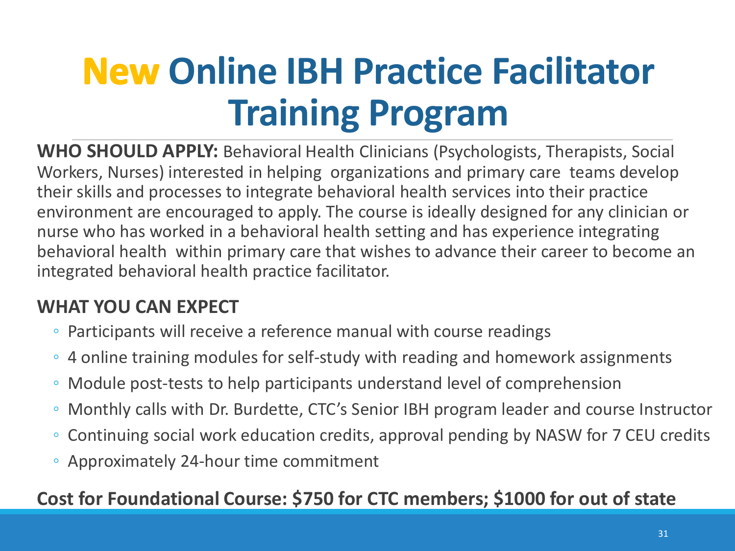# **New Online IBH Practice Facilitator Training Program**

**WHO SHOULD APPLY:** Behavioral Health Clinicians (Psychologists, Therapists, Social Workers, Nurses) interested in helping organizations and primary care teams develop their skills and processes to integrate behavioral health services into their practice environment are encouraged to apply. The course is ideally designed for any clinician or nurse who has worked in a behavioral health setting and has experience integrating behavioral health within primary care that wishes to advance their career to become an integrated behavioral health practice facilitator.

### **WHAT YOU CAN EXPECT**

- Participants will receive a reference manual with course readings
- 4 online training modules for self-study with reading and homework assignments
- Module post-tests to help participants understand level of comprehension
- Monthly calls with Dr. Burdette, CTC's Senior IBH program leader and course Instructor
- Continuing social work education credits, approval pending by NASW for 7 CEU credits
- Approximately 24-hour time commitment

### **Cost for Foundational Course: \$750 for CTC members; \$1000 for out of state**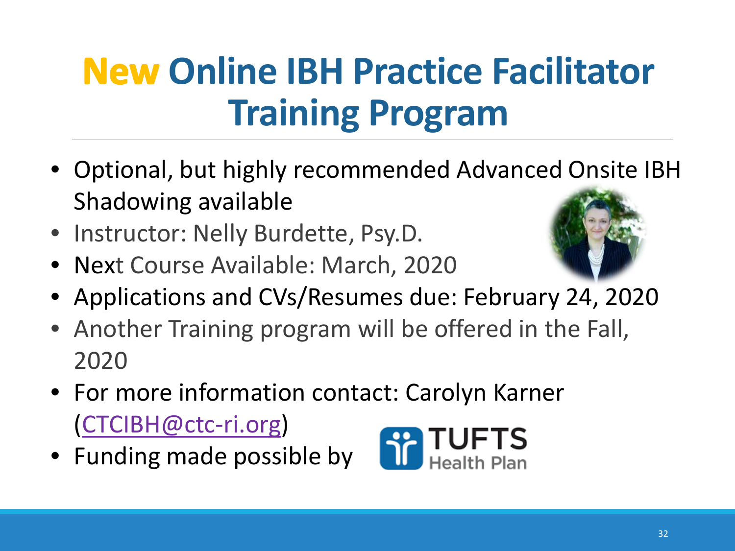# **New Online IBH Practice Facilitator Training Program**

- Optional, but highly recommended Advanced Onsite IBH Shadowing available
- Instructor: Nelly Burdette, Psy.D.
- Next Course Available: March, 2020



- Applications and CVs/Resumes due: February 24, 2020
- Another Training program will be offered in the Fall, 2020
- For more information contact: Carolyn Karner [\(CTCIBH@ctc-ri.org\)](mailto:CTCIBH@ctc-ri.org)
- Funding made possible by